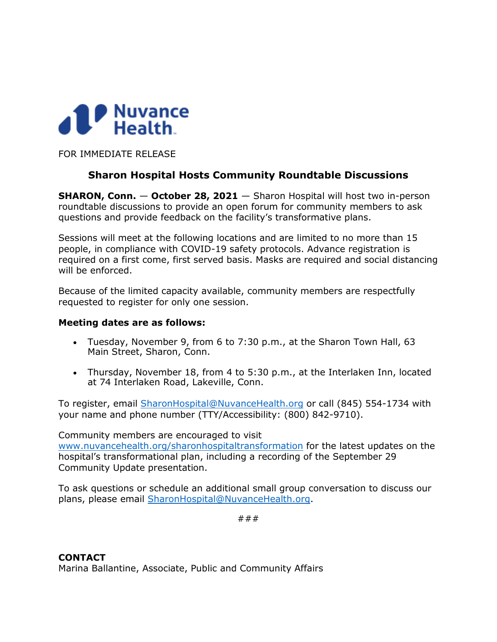

FOR IMMEDIATE RELEASE

# **Sharon Hospital Hosts Community Roundtable Discussions**

**SHARON, Conn. - October 28, 2021** - Sharon Hospital will host two in-person roundtable discussions to provide an open forum for community members to ask questions and provide feedback on the facility's transformative plans.

Sessions will meet at the following locations and are limited to no more than 15 people, in compliance with COVID-19 safety protocols. Advance registration is required on a first come, first served basis. Masks are required and social distancing will be enforced.

Because of the limited capacity available, community members are respectfully requested to register for only one session.

### **Meeting dates are as follows:**

- Tuesday, November 9, from 6 to 7:30 p.m., at the Sharon Town Hall, 63 Main Street, Sharon, Conn.
- Thursday, November 18, from 4 to 5:30 p.m., at the Interlaken Inn, located at 74 Interlaken Road, Lakeville, Conn.

To register, email [SharonHospital@NuvanceHealth.org](mailto:SharonHospital@NuvanceHealth.org) or call (845) 554-1734 with your name and phone number (TTY/Accessibility: (800) 842-9710).

Community members are encouraged to visit [www.nuvancehealth.org/sharonhospitaltransformation](http://www.nuvancehealth.org/sharonhospitaltransformation) for the latest updates on the hospital's transformational plan, including a recording of the September 29 Community Update presentation.

To ask questions or schedule an additional small group conversation to discuss our plans, please email [SharonHospital@NuvanceHealth.org.](mailto:SharonHospital@NuvanceHealth.org)

###